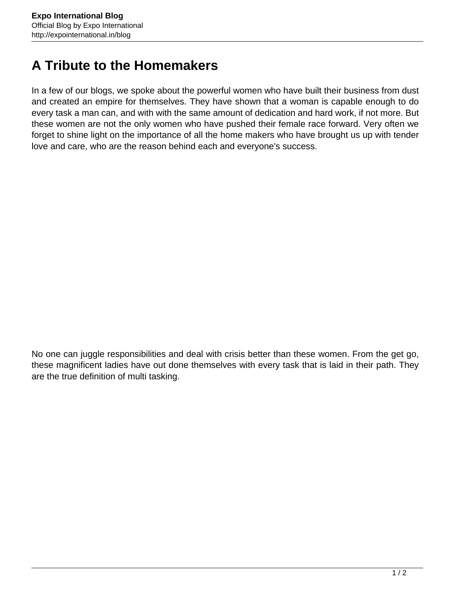## **A Tribute to the Homemakers**

In a few of our blogs, we spoke about the powerful women who have built their business from dust and created an empire for themselves. They have shown that a woman is capable enough to do every task a man can, and with with the same amount of dedication and hard work, if not more. But these women are not the only women who have pushed their female race forward. Very often we forget to shine light on the importance of all the home makers who have brought us up with tender love and care, who are the reason behind each and everyone's success.

No one can juggle responsibilities and deal with crisis better than these women. From the get go, these magnificent ladies have out done themselves with every task that is laid in their path. They are the true definition of multi tasking.